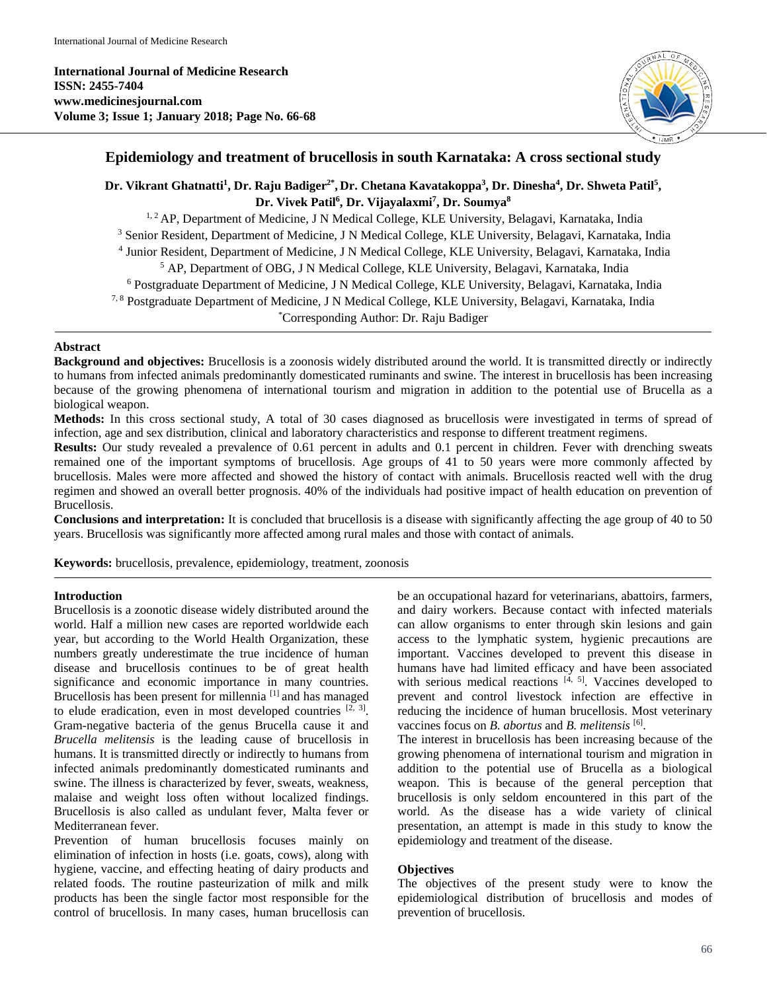**International Journal of Medicine Research ISSN: 2455-7404 www.medicinesjournal.com Volume 3; Issue 1; January 2018; Page No. 66-68**



# **Epidemiology and treatment of brucellosis in south Karnataka: A cross sectional study**

Dr. Vikrant Ghatnatti<sup>1</sup>, Dr. Raju Badiger<sup>2\*</sup>, Dr. Chetana Kavatakoppa<sup>3</sup>, Dr. Dinesha<sup>4</sup>, Dr. Shweta Patil<sup>5</sup>, **Dr. Vivek Patil6 , Dr. Vijayalaxmi7 , Dr. Soumya8**

<sup>1, 2</sup> AP, Department of Medicine, J N Medical College, KLE University, Belagavi, Karnataka, India <sup>3</sup> Senior Resident, Department of Medicine, J N Medical College, KLE University, Belagavi, Karnataka, India <sup>4</sup> Junior Resident, Department of Medicine, J N Medical College, KLE University, Belagavi, Karnataka, India <sup>5</sup> AP, Department of OBG, J N Medical College, KLE University, Belagavi, Karnataka, India <sup>6</sup> Postgraduate Department of Medicine, J N Medical College, KLE University, Belagavi, Karnataka, India 7, 8 Postgraduate Department of Medicine, J N Medical College, KLE University, Belagavi, Karnataka, India \* Corresponding Author: Dr. Raju Badiger

## **Abstract**

**Background and objectives:** Brucellosis is a zoonosis widely distributed around the world. It is transmitted directly or indirectly to humans from infected animals predominantly domesticated ruminants and swine. The interest in brucellosis has been increasing because of the growing phenomena of international tourism and migration in addition to the potential use of Brucella as a biological weapon.

**Methods:** In this cross sectional study, A total of 30 cases diagnosed as brucellosis were investigated in terms of spread of infection, age and sex distribution, clinical and laboratory characteristics and response to different treatment regimens.

**Results:** Our study revealed a prevalence of 0.61 percent in adults and 0.1 percent in children. Fever with drenching sweats remained one of the important symptoms of brucellosis. Age groups of 41 to 50 years were more commonly affected by brucellosis. Males were more affected and showed the history of contact with animals. Brucellosis reacted well with the drug regimen and showed an overall better prognosis. 40% of the individuals had positive impact of health education on prevention of Brucellosis.

**Conclusions and interpretation:** It is concluded that brucellosis is a disease with significantly affecting the age group of 40 to 50 years. Brucellosis was significantly more affected among rural males and those with contact of animals.

**Keywords:** brucellosis, prevalence, epidemiology, treatment, zoonosis

### **Introduction**

Brucellosis is a zoonotic disease widely distributed around the world. Half a million new cases are reported worldwide each year, but according to the World Health Organization, these numbers greatly underestimate the true incidence of human disease and brucellosis continues to be of great health significance and economic importance in many countries. Brucellosis has been present for millennia [1] and has managed to elude eradication, even in most developed countries  $[2, 3]$ . Gram-negative bacteria of the genus Brucella cause it and *Brucella melitensis* is the leading cause of brucellosis in humans. It is transmitted directly or indirectly to humans from infected animals predominantly domesticated ruminants and swine. The illness is characterized by fever, sweats, weakness, malaise and weight loss often without localized findings. Brucellosis is also called as undulant fever, Malta fever or Mediterranean fever.

Prevention of human brucellosis focuses mainly on elimination of infection in hosts (i.e. goats, cows), along with hygiene, vaccine, and effecting heating of dairy products and related foods. The routine pasteurization of milk and milk products has been the single factor most responsible for the control of brucellosis. In many cases, human brucellosis can

be an occupational hazard for veterinarians, abattoirs, farmers, and dairy workers. Because contact with infected materials can allow organisms to enter through skin lesions and gain access to the lymphatic system, hygienic precautions are important. Vaccines developed to prevent this disease in humans have had limited efficacy and have been associated with serious medical reactions  $[4, 5]$ . Vaccines developed to prevent and control livestock infection are effective in reducing the incidence of human brucellosis. Most veterinary vaccines focus on *B. abortus* and *B. melitensis* [6] .

The interest in brucellosis has been increasing because of the growing phenomena of international tourism and migration in addition to the potential use of Brucella as a biological weapon. This is because of the general perception that brucellosis is only seldom encountered in this part of the world. As the disease has a wide variety of clinical presentation, an attempt is made in this study to know the epidemiology and treatment of the disease.

### **Objectives**

The objectives of the present study were to know the epidemiological distribution of brucellosis and modes of prevention of brucellosis.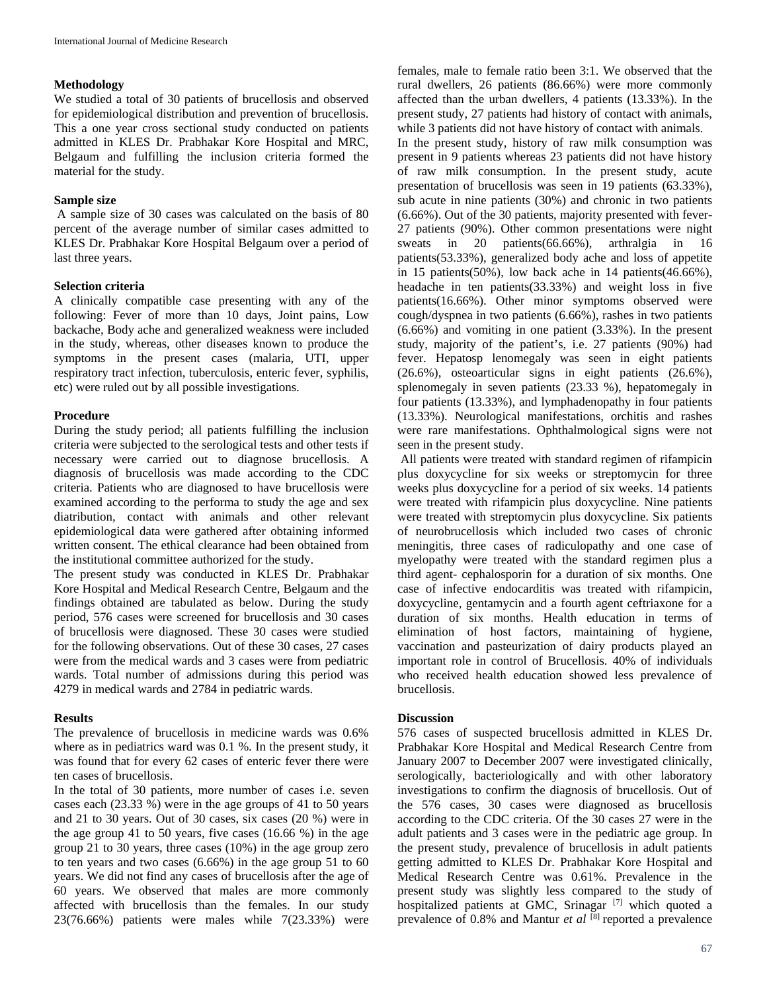### **Methodology**

We studied a total of 30 patients of brucellosis and observed for epidemiological distribution and prevention of brucellosis. This a one year cross sectional study conducted on patients admitted in KLES Dr. Prabhakar Kore Hospital and MRC, Belgaum and fulfilling the inclusion criteria formed the material for the study.

### **Sample size**

A sample size of 30 cases was calculated on the basis of 80 percent of the average number of similar cases admitted to KLES Dr. Prabhakar Kore Hospital Belgaum over a period of last three years.

## **Selection criteria**

A clinically compatible case presenting with any of the following: Fever of more than 10 days, Joint pains, Low backache, Body ache and generalized weakness were included in the study, whereas, other diseases known to produce the symptoms in the present cases (malaria, UTI, upper respiratory tract infection, tuberculosis, enteric fever, syphilis, etc) were ruled out by all possible investigations.

## **Procedure**

During the study period; all patients fulfilling the inclusion criteria were subjected to the serological tests and other tests if necessary were carried out to diagnose brucellosis. A diagnosis of brucellosis was made according to the CDC criteria. Patients who are diagnosed to have brucellosis were examined according to the performa to study the age and sex diatribution, contact with animals and other relevant epidemiological data were gathered after obtaining informed written consent. The ethical clearance had been obtained from the institutional committee authorized for the study.

The present study was conducted in KLES Dr. Prabhakar Kore Hospital and Medical Research Centre, Belgaum and the findings obtained are tabulated as below. During the study period, 576 cases were screened for brucellosis and 30 cases of brucellosis were diagnosed. These 30 cases were studied for the following observations. Out of these 30 cases, 27 cases were from the medical wards and 3 cases were from pediatric wards. Total number of admissions during this period was 4279 in medical wards and 2784 in pediatric wards.

## **Results**

The prevalence of brucellosis in medicine wards was 0.6% where as in pediatrics ward was 0.1 %. In the present study, it was found that for every 62 cases of enteric fever there were ten cases of brucellosis.

In the total of 30 patients, more number of cases i.e. seven cases each (23.33 %) were in the age groups of 41 to 50 years and 21 to 30 years. Out of 30 cases, six cases (20 %) were in the age group 41 to 50 years, five cases (16.66 %) in the age group 21 to 30 years, three cases (10%) in the age group zero to ten years and two cases (6.66%) in the age group 51 to 60 years. We did not find any cases of brucellosis after the age of 60 years. We observed that males are more commonly affected with brucellosis than the females. In our study 23(76.66%) patients were males while 7(23.33%) were females, male to female ratio been 3:1. We observed that the rural dwellers, 26 patients (86.66%) were more commonly affected than the urban dwellers, 4 patients (13.33%). In the present study, 27 patients had history of contact with animals, while 3 patients did not have history of contact with animals.

In the present study, history of raw milk consumption was present in 9 patients whereas 23 patients did not have history of raw milk consumption. In the present study, acute presentation of brucellosis was seen in 19 patients (63.33%), sub acute in nine patients (30%) and chronic in two patients (6.66%). Out of the 30 patients, majority presented with fever-27 patients (90%). Other common presentations were night sweats in 20 patients(66.66%), arthralgia in 16 patients(53.33%), generalized body ache and loss of appetite in 15 patients(50%), low back ache in 14 patients(46.66%), headache in ten patients(33.33%) and weight loss in five patients(16.66%). Other minor symptoms observed were cough/dyspnea in two patients (6.66%), rashes in two patients (6.66%) and vomiting in one patient (3.33%). In the present study, majority of the patient's, i.e. 27 patients (90%) had fever. Hepatosp lenomegaly was seen in eight patients (26.6%), osteoarticular signs in eight patients (26.6%), splenomegaly in seven patients (23.33 %), hepatomegaly in four patients (13.33%), and lymphadenopathy in four patients (13.33%). Neurological manifestations, orchitis and rashes were rare manifestations. Ophthalmological signs were not seen in the present study.

All patients were treated with standard regimen of rifampicin plus doxycycline for six weeks or streptomycin for three weeks plus doxycycline for a period of six weeks. 14 patients were treated with rifampicin plus doxycycline. Nine patients were treated with streptomycin plus doxycycline. Six patients of neurobrucellosis which included two cases of chronic meningitis, three cases of radiculopathy and one case of myelopathy were treated with the standard regimen plus a third agent- cephalosporin for a duration of six months. One case of infective endocarditis was treated with rifampicin, doxycycline, gentamycin and a fourth agent ceftriaxone for a duration of six months. Health education in terms of elimination of host factors, maintaining of hygiene, vaccination and pasteurization of dairy products played an important role in control of Brucellosis. 40% of individuals who received health education showed less prevalence of brucellosis.

### **Discussion**

576 cases of suspected brucellosis admitted in KLES Dr. Prabhakar Kore Hospital and Medical Research Centre from January 2007 to December 2007 were investigated clinically, serologically, bacteriologically and with other laboratory investigations to confirm the diagnosis of brucellosis. Out of the 576 cases, 30 cases were diagnosed as brucellosis according to the CDC criteria. Of the 30 cases 27 were in the adult patients and 3 cases were in the pediatric age group. In the present study, prevalence of brucellosis in adult patients getting admitted to KLES Dr. Prabhakar Kore Hospital and Medical Research Centre was 0.61%. Prevalence in the present study was slightly less compared to the study of hospitalized patients at GMC, Srinagar <sup>[7]</sup> which quoted a prevalence of 0.8% and Mantur *et al* [8] reported a prevalence